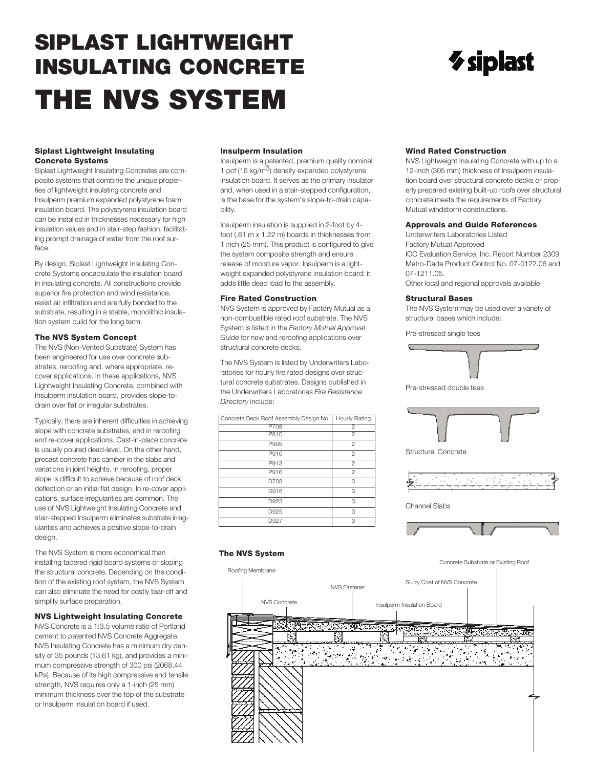# **SIPLAST LIGHTWEIGHT INSULATING CONCRETE THE NVS SYSTEM**

#### **Siplast Lightweight Insulating Concrete Systems**

Siplast Lightweight Insulating Concretes are composite systems that combine the unique properties of lightweight insulating concrete and Insulperm premium expanded polystyrene foam insulation board. The polystyrene insulation board can be installed in thicknesses necessary for high insulation values and in stair-step fashion, facilitating prompt drainage of water from the roof surface.

By design, Siplast Lightweight Insulating Concrete Systems encapsulate the insulation board in insulating concrete. All constructions provide superior fire protection and wind resistance, resist air infiltration and are fully bonded to the substrate, resulting in a stable, monolithic insulation system build for the long term.

#### **The NVS System Concept**

The NVS (Non-Vented Substrate) System has been engineered for use over concrete substrates, reroofing and, where appropriate, recover applications. In these applications, NVS Lightweight Insulating Concrete, combined with Insulperm insulation board, provides slope-todrain over flat or irregular substrates.

Typically, there are inherent difficulties in achieving slope with concrete substrates, and in reroofing and re-cover applications. Cast-in-place concrete is usually poured dead-level. On the other hand, precast concrete has camber in the slabs and variations in joint heights. In reroofing, proper slope is difficult to achieve because of roof deck deflection or an initial flat design. In re-cover applications, surface irregularities are common. The use of NVS Lightweight Insulating Concrete and stair-stepped Insulperm eliminates substrate irregularities and achieves a positive slope-to-drain design.

The NVS System is more economical than installing tapered rigid board systems or sloping the structural concrete. Depending on the condition of the existing roof system, the NVS System can also eliminate the need for costly tear-off and simplify surface preparation.

#### **NVS Lightweight Insulating Concrete**

NVS Concrete is a 1:3.5 volume ratio of Portland cement to patented NVS Concrete Aggregate. NVS Insulating Concrete has a minimum dry density of 35 pounds (13.61 kg), and provides a minimum compressive strength of 300 psi (2068.44 kPa). Because of its high compressive and tensile strength, NVS requires only a 1-inch (25 mm) minimum thickness over the top of the substrate or Insulperm insulation board if used.

#### **Insulperm Insulation**

Insulperm is a patented, premium quality nominal 1 pcf (16 kg/m $3$ ) density expanded polystyrene insulation board. It serves as the primary insulator and, when used in a stair-stepped configuration, is the base for the system's slope-to-drain capability.

Insulperm insulation is supplied in 2-foot by 4 foot (.61 m x 1.22 m) boards in thicknesses from 1 inch (25 mm). This product is configured to give the system composite strength and ensure release of moisture vapor. Insulperm is a lightweight expanded polystyrene insulation board; it adds little dead load to the assembly.

#### **Fire Rated Construction**

NVS System is approved by Factory Mutual as a non-combustible rated roof substrate. The NVS System is listed in the *Factory Mutual Approval Guide* for new and reroofing applications over structural concrete decks.

The NVS System is listed by Underwriters Laboratories for hourly fire rated designs over structural concrete substrates. Designs published in the Underwriters Laboratories *Fire Resistance Directory* include:

| Concrete Deck Roof Assembly Design No. | Hourly Rating  |  |
|----------------------------------------|----------------|--|
| P708                                   | $\overline{c}$ |  |
| P810                                   | $\overline{2}$ |  |
| P905                                   | $\overline{2}$ |  |
| P910                                   | $\overline{2}$ |  |
| P913                                   | $\overline{2}$ |  |
| P916                                   | $\overline{2}$ |  |
| D708                                   | 3              |  |
| D916                                   | 3              |  |
| D923                                   | 3              |  |
| D925                                   | 3              |  |
| D927                                   | 3              |  |

## **Wind Rated Construction**

NVS Lightweight Insulating Concrete with up to a 12-inch (305 mm) thickness of Insulperm insulation board over structural concrete decks or properly prepared existing built-up roofs over structural concrete meets the requirements of Factory Mutual windstorm constructions.

*V* siplast

#### **Approvals and Guide References**

Underwriters Laboratories Listed Factory Mutual Approved ICC Evaluation Service, Inc. Report Number 2309 Metro-Dade Product Control No. 07-0122.06 and 07-1211.05.

Other local and regional approvals available

#### **Structural Bases**

The NVS System may be used over a variety of structural bases which include:

Pre-stressed single tees



Pre-stressed double tees



Structural Concrete



Channel Slabs



#### **The NVS System**

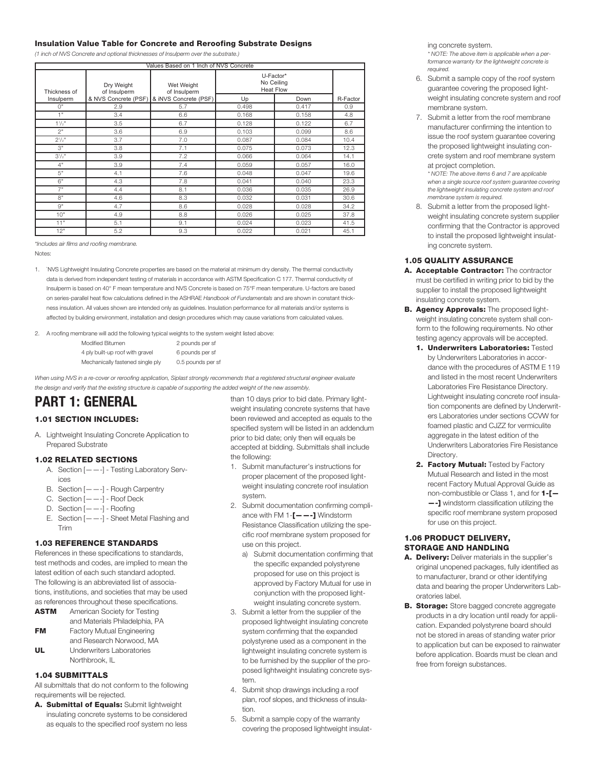#### **Insulation Value Table for Concrete and Reroofing Substrate Designs**

*(1 inch of NVS Concrete and optional thicknesses of Insulperm over the substrate.)*

| Values Based on 1 Inch of NVS Concrete |                            |                                              |                                             |       |          |  |  |
|----------------------------------------|----------------------------|----------------------------------------------|---------------------------------------------|-------|----------|--|--|
| Thickness of                           | Dry Weight<br>of Insulperm | Wet Weight<br>of Insulperm                   | U-Factor*<br>No Ceiling<br><b>Heat Flow</b> |       |          |  |  |
| Insulperm                              |                            | & NVS Concrete (PSF)   & iNVS Concrete (PSF) | Up                                          | Down  | R-Factor |  |  |
| $\bigcap$ "                            | 2.9                        | 5.7                                          | 0.498                                       | 0.417 | 0.9      |  |  |
| 1"                                     | 3.4                        | 6.6                                          | 0.168                                       | 0.158 | 4.8      |  |  |
| $1\frac{1}{2}$                         | 3.5                        | 6.7                                          | 0.128                                       | 0.122 | 6.7      |  |  |
| 2"                                     | 3.6                        | 6.9                                          | 0.103                                       | 0.099 | 8.6      |  |  |
| $2^{1/2}$                              | 3.7                        | 7.0                                          | 0.087                                       | 0.084 | 10.4     |  |  |
| 3"                                     | 3.8                        | 7.1                                          | 0.075                                       | 0.073 | 12.3     |  |  |
| $3^{1/2}$ "                            | 3.9                        | 7.2                                          | 0.066                                       | 0.064 | 14.1     |  |  |
| 4"                                     | 3.9                        | 7.4                                          | 0.059                                       | 0.057 | 16.0     |  |  |
| 5"                                     | 4.1                        | 7.6                                          | 0.048                                       | 0.047 | 19.6     |  |  |
| 6"                                     | 4.3                        | 7.8                                          | 0.041                                       | 0.040 | 23.3     |  |  |
| 7"                                     | 4.4                        | 8.1                                          | 0.036                                       | 0.035 | 26.9     |  |  |
| 8"                                     | 4.6                        | 8.3                                          | 0.032                                       | 0.031 | 30.6     |  |  |
| 9"                                     | 4.7                        | 8.6                                          | 0.028                                       | 0.028 | 34.2     |  |  |
| 10"                                    | 4.9                        | 8.8                                          | 0.026                                       | 0.025 | 37.8     |  |  |
| 11"                                    | 5.1                        | 9.1                                          | 0.024                                       | 0.023 | 41.5     |  |  |
| 12"                                    | 5.2                        | 9.3                                          | 0.022                                       | 0.021 | 45.1     |  |  |

*\*Includes air films and roofing membrane.* Notes:

- 1. `NVS Lightweight Insulating Concrete properties are based on the material at minimum dry density. The thermal conductivity data is derived from independent testing of materials in accordance with ASTM Specification C 177. Thermal conductivity of Insulperm is based on 40° F mean temperature and NVS Concrete is based on 75°F mean temperature. U-factors are based on series-parallel heat flow calculations defined in the ASHRAE *Handbook of Fundamentals* and are shown in constant thickness insulation. All values shown are intended only as guidelines. Insulation performance for all materials and/or systems is affected by building environment, installation and design procedures which may cause variations from calculated values.
- 2. A roofing membrane will add the following typical weights to the system weight listed above:
	- Modified Bitumen 2 pounds per sf 4 ply built-up roof with gravel 6 pounds per sf Mechanically fastened single ply 0.5 pounds per sf

When using NVS in a re-cover or reroofing application, Siplast strongly recommends that a registered structural engineer evaluate the design and verify that the existing structure is capable of supporting the added weight of the new assembly.

# **PART 1: GENERAL**

### **1.01 SECTION INCLUDES:**

A. Lightweight Insulating Concrete Application to Prepared Substrate

#### **1.02 RELATED SECTIONS**

- A. Section  $[- -]$  Testing Laboratory Services
- B. Section [——-] Rough Carpentry
- C. Section [——-] Roof Deck
- D. Section [——-] Roofing
- E. Section  $[- -]$  Sheet Metal Flashing and Trim

#### **1.03 REFERENCE STANDARDS**

References in these specifications to standards, test methods and codes, are implied to mean the latest edition of each such standard adopted. The following is an abbreviated list of associations, institutions, and societies that may be used as references throughout these specifications.

- **ASTM** American Society for Testing and Materials Philadelphia, PA **FM** Factory Mutual Engineering and Research Norwood, MA
- **UL** Underwriters Laboratories Northbrook, IL

#### **1.04 SUBMITTALS**

All submittals that do not conform to the following requirements will be rejected.

**A. Submittal of Equals:** Submit lightweight insulating concrete systems to be considered as equals to the specified roof system no less than 10 days prior to bid date. Primary lightweight insulating concrete systems that have been reviewed and accepted as equals to the specified system will be listed in an addendum prior to bid date; only then will equals be accepted at bidding. Submittals shall include the following:

- 1. Submit manufacturer's instructions for proper placement of the proposed lightweight insulating concrete roof insulation system.
- 2. Submit documentation confirming compliance with FM 1-**[——-]** Windstorm Resistance Classification utilizing the specific roof membrane system proposed for use on this project.
	- a) Submit documentation confirming that the specific expanded polystyrene proposed for use on this project is approved by Factory Mutual for use in conjunction with the proposed lightweight insulating concrete system.
- 3. Submit a letter from the supplier of the proposed lightweight insulating concrete system confirming that the expanded polystyrene used as a component in the lightweight insulating concrete system is to be furnished by the supplier of the proposed lightweight insulating concrete system.
- 4. Submit shop drawings including a roof plan, roof slopes, and thickness of insulation.
- 5. Submit a sample copy of the warranty covering the proposed lightweight insulat-

ing concrete system. *\* NOTE: The above item is applicable when a performance warranty for the lightweight concrete is required.*

- 6. Submit a sample copy of the roof system guarantee covering the proposed lightweight insulating concrete system and roof membrane system.
- 7. Submit a letter from the roof membrane manufacturer confirming the intention to issue the roof system guarantee covering the proposed lightweight insulating concrete system and roof membrane system at project completion.

*\* NOTE: The above items 6 and 7 are applicable when a single source roof system guarantee covering the lightweight insulating concrete system and roof membrane system is required.*

8. Submit a letter from the proposed lightweight insulating concrete system supplier confirming that the Contractor is approved to install the proposed lightweight insulating concrete system.

#### **1.05 QUALITY ASSURANCE**

- **A. Acceptable Contractor:** The contractor must be certified in writing prior to bid by the supplier to install the proposed lightweight insulating concrete system.
- **B. Agency Approvals:** The proposed lightweight insulating concrete system shall conform to the following requirements. No other testing agency approvals will be accepted.
	- **1. Underwriters Laboratories:** Tested by Underwriters Laboratories in accordance with the procedures of ASTM E 119 and listed in the most recent Underwriters Laboratories Fire Resistance Directory. Lightweight insulating concrete roof insulation components are defined by Underwriters Laboratories under sections CCVW for foamed plastic and CJZZ for vermiculite aggregate in the latest edition of the Underwriters Laboratories Fire Resistance Directory.
	- **2. Factory Mutual:** Tested by Factory Mutual Research and listed in the most recent Factory Mutual Approval Guide as non-combustible or Class 1, and for **1-[— —-]** windstorm classification utilizing the specific roof membrane system proposed for use on this project.

#### **1.06 PRODUCT DELIVERY, STORAGE AND HANDLING**

- **A. Delivery:** Deliver materials in the supplier's original unopened packages, fully identified as to manufacturer, brand or other identifying data and bearing the proper Underwriters Laboratories label.
- **B. Storage:** Store bagged concrete aggregate products in a dry location until ready for application. Expanded polystyrene board should not be stored in areas of standing water prior to application but can be exposed to rainwater before application. Boards must be clean and free from foreign substances.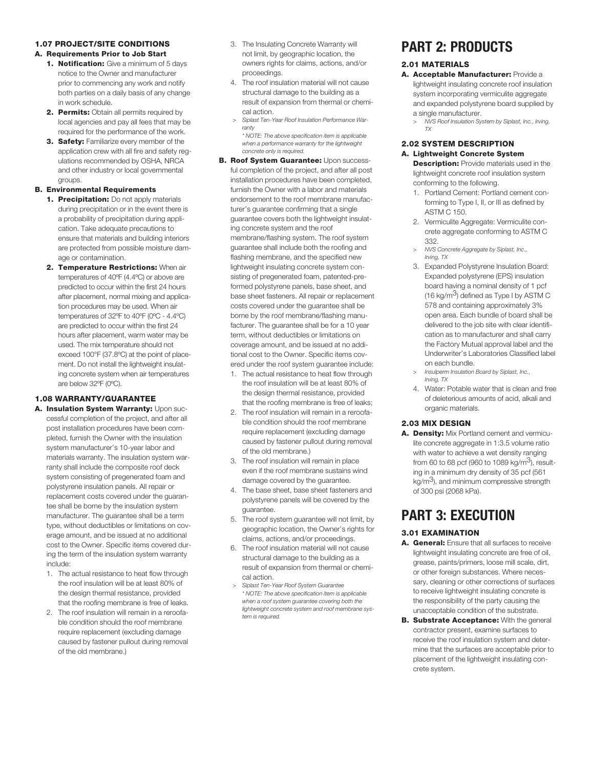#### **1.07 PROJECT/SITE CONDITIONS**

#### **A. Requirements Prior to Job Start**

- **1. Notification:** Give a minimum of 5 days notice to the Owner and manufacturer prior to commencing any work and notify both parties on a daily basis of any change in work schedule.
- **2. Permits:** Obtain all permits required by local agencies and pay all fees that may be required for the performance of the work.
- **3. Safety:** Familiarize every member of the application crew with all fire and safety regulations recommended by OSHA, NRCA and other industry or local governmental groups.

#### **B. Environmental Requirements**

- **1. Precipitation:** Do not apply materials during precipitation or in the event there is a probability of precipitation during application. Take adequate precautions to ensure that materials and building interiors are protected from possible moisture damage or contamination.
- **2. Temperature Restrictions:** When air temperatures of 40ºF (4.4ºC) or above are predicted to occur within the first 24 hours after placement, normal mixing and application procedures may be used. When air temperatures of 32ºF to 40ºF (0ºC - 4.4ºC) are predicted to occur within the first 24 hours after placement, warm water may be used. The mix temperature should not exceed 100°F (37.8ºC) at the point of placement. Do not install the lightweight insulating concrete system when air temperatures are below 32ºF (0ºC).

#### **1.08 WARRANTY/GUARANTEE**

- **A. Insulation System Warranty:** Upon successful completion of the project, and after all post installation procedures have been completed, furnish the Owner with the insulation system manufacturer's 10-year labor and materials warranty. The insulation system warranty shall include the composite roof deck system consisting of pregenerated foam and polystyrene insulation panels. All repair or replacement costs covered under the guarantee shall be borne by the insulation system manufacturer. The guarantee shall be a term type, without deductibles or limitations on coverage amount, and be issued at no additional cost to the Owner. Specific items covered during the term of the insulation system warranty include:
	- 1. The actual resistance to heat flow through the roof insulation will be at least 80% of the design thermal resistance, provided that the roofing membrane is free of leaks.
	- 2. The roof insulation will remain in a reroofable condition should the roof membrane require replacement (excluding damage caused by fastener pullout during removal of the old membrane.)
- 3. The Insulating Concrete Warranty will not limit, by geographic location, the owners rights for claims, actions, and/or proceedings.
- 4. The roof insulation material will not cause structural damage to the building as a result of expansion from thermal or chemical action.
- *> Siplast Ten-Year Roof Insulation Performance Warranty*
- *\* NOTE: The above specification item is applicable when a performance warranty for the lightweight concrete only is required.*
- **B. Roof System Guarantee:** Upon successful completion of the project, and after all post installation procedures have been completed, furnish the Owner with a labor and materials endorsement to the roof membrane manufacturer's guarantee confirming that a single guarantee covers both the lightweight insulating concrete system and the roof membrane/flashing system. The roof system guarantee shall include both the roofing and flashing membrane, and the specified new lightweight insulating concrete system consisting of pregenerated foam, patented-preformed polystyrene panels, base sheet, and base sheet fasteners. All repair or replacement costs covered under the guarantee shall be borne by the roof membrane/flashing manufacturer. The guarantee shall be for a 10 year term, without deductibles or limitations on coverage amount, and be issued at no additional cost to the Owner. Specific items covered under the roof system guarantee include:
	- 1. The actual resistance to heat flow through the roof insulation will be at least 80% of the design thermal resistance, provided that the roofing membrane is free of leaks;
	- 2. The roof insulation will remain in a reroofable condition should the roof membrane require replacement (excluding damage caused by fastener pullout during removal of the old membrane.)
	- 3. The roof insulation will remain in place even if the roof membrane sustains wind damage covered by the guarantee.
	- 4. The base sheet, base sheet fasteners and polystyrene panels will be covered by the guarantee.
	- 5. The roof system guarantee will not limit, by geographic location, the Owner's rights for claims, actions, and/or proceedings.
	- 6. The roof insulation material will not cause structural damage to the building as a result of expansion from thermal or chemical action.
	- *> Siplast Ten-Year Roof System Guarantee \* NOTE: The above specification item is applicable when a roof system guarantee covering both the lightweight concrete system and roof membrane system is required.*

## **PART 2: PRODUCTS**

#### **2.01 MATERIALS**

- **A. Acceptable Manufacturer:** Provide a lightweight insulating concrete roof insulation system incorporating vermiculite aggregate and expanded polystyrene board supplied by a single manufacturer.
	- *> NVS Roof Insulation System by Siplast, Inc., Irving, TX*

#### **2.02 SYSTEM DESCRIPTION A. Lightweight Concrete System**

**Description:** Provide materials used in the lightweight concrete roof insulation system conforming to the following.

- 1. Portland Cement: Portland cement conforming to Type I, II, or III as defined by ASTM C 150.
- 2. Vermiculite Aggregate: Vermiculite concrete aggregate conforming to ASTM C 332.
- *> NVS Concrete Aggregate by Siplast, Inc., Irving, TX*
- 3. Expanded Polystyrene Insulation Board: Expanded polystyrene (EPS) insulation board having a nominal density of 1 pcf (16 kg/m<sup>3</sup>) defined as Type I by ASTM C 578 and containing approximately 3% open area. Each bundle of board shall be delivered to the job site with clear identification as to manufacturer and shall carry the Factory Mutual approval label and the Underwriter's Laboratories Classified label on each bundle.
- *> Insulperm Insulation Board by Siplast, Inc., Irving, TX*
- 4. Water: Potable water that is clean and free of deleterious amounts of acid, alkali and organic materials.

#### **2.03 MIX DESIGN**

**A. Density:** Mix Portland cement and vermiculite concrete aggregate in 1:3.5 volume ratio with water to achieve a wet density ranging from 60 to 68 pcf (960 to 1089 kg/m<sup>3</sup>), resulting in a minimum dry density of 35 pcf (561  $kg/m<sup>3</sup>$ , and minimum compressive strength of 300 psi (2068 kPa).

## **PART 3: EXECUTION**

#### **3.01 EXAMINATION**

- **A. General:** Ensure that all surfaces to receive lightweight insulating concrete are free of oil, grease, paints/primers, loose mill scale, dirt, or other foreign substances. Where necessary, cleaning or other corrections of surfaces to receive lightweight insulating concrete is the responsibility of the party causing the unacceptable condition of the substrate.
- **B. Substrate Acceptance:** With the general contractor present, examine surfaces to receive the roof insulation system and determine that the surfaces are acceptable prior to placement of the lightweight insulating concrete system.